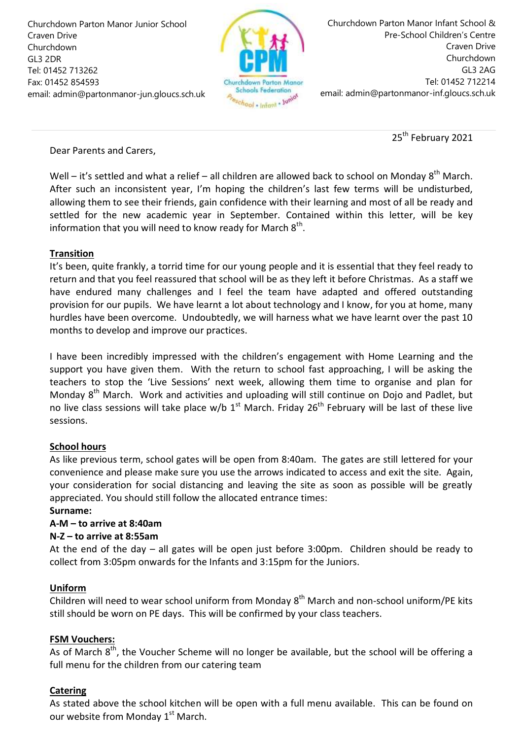Churchdown Parton Manor Junior School Craven Drive Churchdown GL3 2DR Tel: 01452 713262 Fax: 01452 854593 email: admin@partonmanor-jun.gloucs.sch.uk



Churchdown Parton Manor Infant School & Pre-School Children's Centre Craven Drive Churchdown GL3 2AG Tel: 01452 712214 email: admin@partonmanor-inf.gloucs.sch.uk

25<sup>th</sup> February 2021

## Dear Parents and Carers,

Well – it's settled and what a relief – all children are allowed back to school on Monday  $8^{th}$  March. After such an inconsistent year, I'm hoping the children's last few terms will be undisturbed, allowing them to see their friends, gain confidence with their learning and most of all be ready and settled for the new academic year in September. Contained within this letter, will be key information that you will need to know ready for March  $8<sup>th</sup>$ .

## **Transition**

It's been, quite frankly, a torrid time for our young people and it is essential that they feel ready to return and that you feel reassured that school will be as they left it before Christmas. As a staff we have endured many challenges and I feel the team have adapted and offered outstanding provision for our pupils. We have learnt a lot about technology and I know, for you at home, many hurdles have been overcome. Undoubtedly, we will harness what we have learnt over the past 10 months to develop and improve our practices.

I have been incredibly impressed with the children's engagement with Home Learning and the support you have given them. With the return to school fast approaching, I will be asking the teachers to stop the 'Live Sessions' next week, allowing them time to organise and plan for Monday 8<sup>th</sup> March. Work and activities and uploading will still continue on Dojo and Padlet, but no live class sessions will take place w/b  $1<sup>st</sup>$  March. Friday  $26<sup>th</sup>$  February will be last of these live sessions.

# **School hours**

As like previous term, school gates will be open from 8:40am. The gates are still lettered for your convenience and please make sure you use the arrows indicated to access and exit the site. Again, your consideration for social distancing and leaving the site as soon as possible will be greatly appreciated. You should still follow the allocated entrance times:

### **Surname:**

# **A-M – to arrive at 8:40am**

### **N-Z – to arrive at 8:55am**

At the end of the day – all gates will be open just before 3:00pm. Children should be ready to collect from 3:05pm onwards for the Infants and 3:15pm for the Juniors.

### **Uniform**

Children will need to wear school uniform from Monday 8<sup>th</sup> March and non-school uniform/PE kits still should be worn on PE days. This will be confirmed by your class teachers.

### **FSM Vouchers:**

As of March  $8<sup>th</sup>$ , the Voucher Scheme will no longer be available, but the school will be offering a full menu for the children from our catering team

# **Catering**

As stated above the school kitchen will be open with a full menu available. This can be found on our website from Monday 1<sup>st</sup> March.